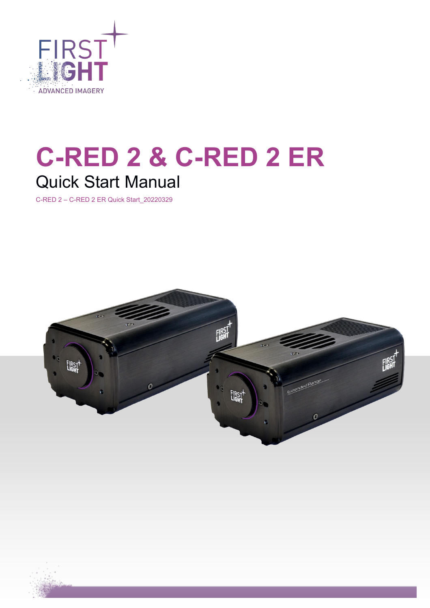

# **C-RED 2 & C-RED 2 ER** Quick Start Manual

C-RED 2 – C-RED 2 ER Quick Start\_20220329

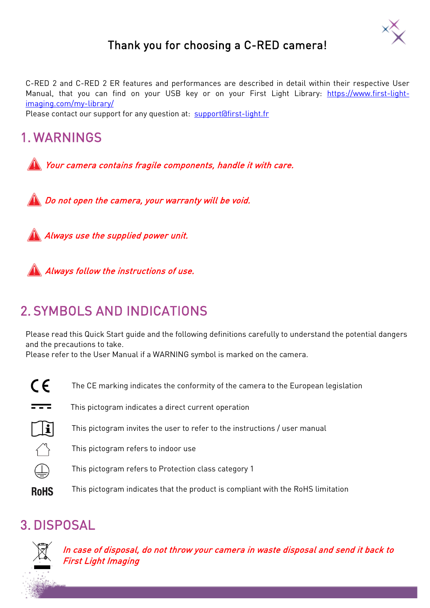

## Thank you for choosing a C-RED camera!

C-RED 2 and C-RED 2 ER features and performances are described in detail within their respective User Manual, that you can find on your USB key or on your First Light Library: [https://www.first-light](https://www.first-light-imaging.com/my-library/)[imaging.com/my-library/](https://www.first-light-imaging.com/my-library/) 

Please contact our support for any question at: [support@first-light.fr](mailto:support@first-light.fr)

# 1. WARNINGS

Your camera contains fragile components, handle it with care.

**Do not open the camera, your warranty will be void.** 

Always use the supplied power unit.



**Always follow the instructions of use.** 

# 2. SYMBOLS AND INDICATIONS

Please read this Quick Start guide and the following definitions carefully to understand the potential dangers and the precautions to take.

Please refer to the User Manual if a WARNING symbol is marked on the camera.

- $\epsilon$ The CE marking indicates the conformity of the camera to the European legislation
- $\overline{1}$ This pictogram indicates a direct current operation
- $\mathbb{T}$ This pictogram invites the user to refer to the instructions / user manual
	- This pictogram refers to indoor use
	- This pictogram refers to Protection class category 1
- **RoHS** This pictogram indicates that the product is compliant with the RoHS limitation

## 3. DISPOSAL



In case of disposal, do not throw your camera in waste disposal and send it back to First Light Imaging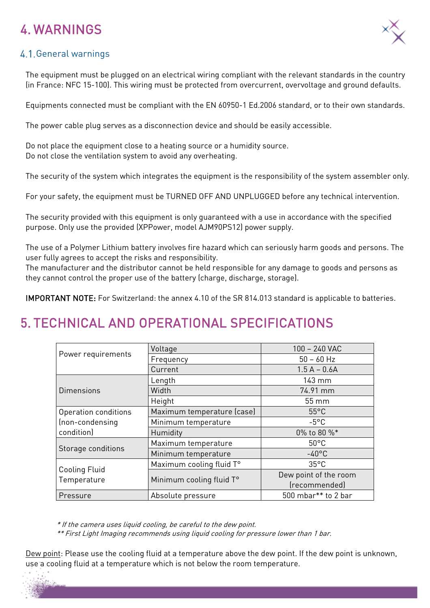# 4. WARNINGS



#### 4.1. General warnings

The equipment must be plugged on an electrical wiring compliant with the relevant standards in the country (in France: NFC 15-100). This wiring must be protected from overcurrent, overvoltage and ground defaults.

Equipments connected must be compliant with the EN 60950-1 Ed.2006 standard, or to their own standards.

The power cable plug serves as a disconnection device and should be easily accessible.

Do not place the equipment close to a heating source or a humidity source. Do not close the ventilation system to avoid any overheating.

The security of the system which integrates the equipment is the responsibility of the system assembler only.

For your safety, the equipment must be TURNED OFF AND UNPLUGGED before any technical intervention.

The security provided with this equipment is only guaranteed with a use in accordance with the specified purpose. Only use the provided (XPPower, model AJM90PS12) power supply.

The use of a Polymer Lithium battery involves fire hazard which can seriously harm goods and persons. The user fully agrees to accept the risks and responsibility.

The manufacturer and the distributor cannot be held responsible for any damage to goods and persons as they cannot control the proper use of the battery (charge, discharge, storage).

IMPORTANT NOTE: For Switzerland: the annex 4.10 of the SR 814.013 standard is applicable to batteries.

# 5. TECHNICAL AND OPERATIONAL SPECIFICATIONS

| Power requirements           | Voltage                                      | 100 - 240 VAC                          |
|------------------------------|----------------------------------------------|----------------------------------------|
|                              | Frequency                                    | $50 - 60$ Hz                           |
|                              | Current                                      | $1.5 A - 0.6 A$                        |
| <b>Dimensions</b>            | Length                                       | $143 \text{ mm}$                       |
|                              | Width                                        | 74.91 mm                               |
|                              | Height                                       | $55 \, \mathrm{mm}$                    |
| Operation conditions         | Maximum temperature (case)<br>$55^{\circ}$ C |                                        |
| (non-condensing              | $-5^{\circ}$ C<br>Minimum temperature        |                                        |
| condition)                   | Humidity                                     | 0% to 80 %*                            |
| Storage conditions           | Maximum temperature                          | $50^{\circ}$ C                         |
|                              | Minimum temperature                          | $-40^{\circ}$ C                        |
| Cooling Fluid<br>Temperature | Maximum cooling fluid T°                     | $35^{\circ}$ C                         |
|                              | Minimum cooling fluid T°                     | Dew point of the room<br>(recommended) |
| Pressure                     | Absolute pressure                            | 500 mbar** to 2 bar                    |

\* If the camera uses liquid cooling, be careful to the dew point.

\*\* First Light Imaging recommends using liquid cooling for pressure lower than 1 bar.

Dew point: Please use the cooling fluid at a temperature above the dew point. If the dew point is unknown, use a cooling fluid at a temperature which is not below the room temperature.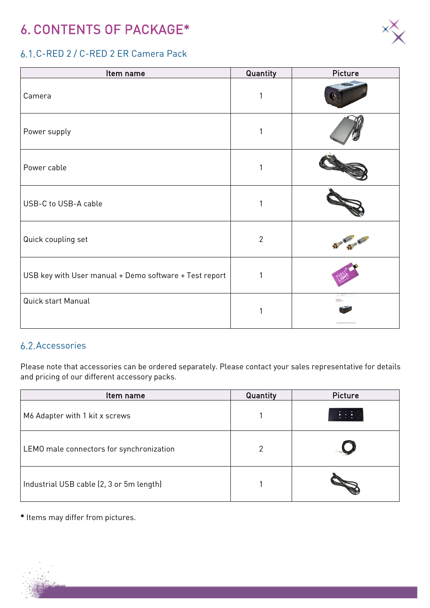# 6. CONTENTS OF PACKAGE\*



## C-RED 2 / C-RED 2 ER Camera Pack

| Item name                                              | Quantity       | Picture |
|--------------------------------------------------------|----------------|---------|
| Camera                                                 |                |         |
| Power supply                                           |                |         |
| Power cable                                            |                |         |
| USB-C to USB-A cable                                   |                |         |
| Quick coupling set                                     | $\overline{2}$ |         |
| USB key with User manual + Demo software + Test report |                |         |
| Quick start Manual                                     |                |         |

## **6.2. Accessories**

Please note that accessories can be ordered separately. Please contact your sales representative for details and pricing of our different accessory packs.

| Item name                                | Quantity | Picture |
|------------------------------------------|----------|---------|
| M6 Adapter with 1 kit x screws           |          |         |
| LEMO male connectors for synchronization | 2        |         |
| Industrial USB cable (2, 3 or 5m length) |          |         |

\* Items may differ from pictures.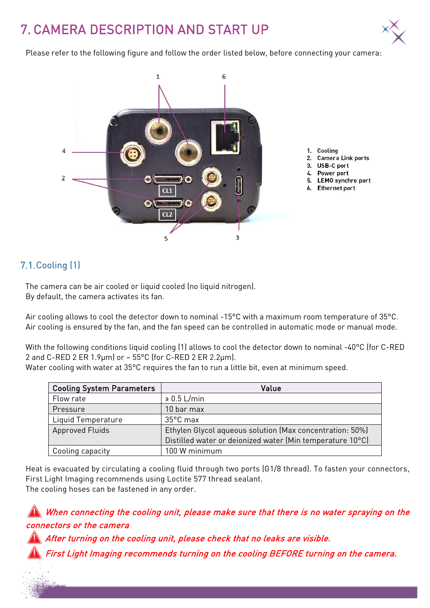# 7. CAMERA DESCRIPTION AND START UP



Please refer to the following figure and follow the order listed below, before connecting your camera:



## 7.1. Cooling (1)

The camera can be air cooled or liquid cooled (no liquid nitrogen). By default, the camera activates its fan.

Air cooling allows to cool the detector down to nominal -15°C with a maximum room temperature of 35°C. Air cooling is ensured by the fan, and the fan speed can be controlled in automatic mode or manual mode.

With the following conditions liquid cooling (1) allows to cool the detector down to nominal -40°C (for C-RED 2 and C-RED 2 ER 1.9 $\mu$ m) or – 55°C (for C-RED 2 ER 2.2 $\mu$ m).

Water cooling with water at 35°C requires the fan to run a little bit, even at minimum speed.

| <b>Cooling System Parameters</b> | Value                                                     |  |
|----------------------------------|-----------------------------------------------------------|--|
| Flow rate                        | $\geqslant 0.5$ L/min                                     |  |
| Pressure                         | 10 bar max                                                |  |
| Liquid Temperature               | 35°C max                                                  |  |
| <b>Approved Fluids</b>           | Ethylen Glycol aqueous solution (Max concentration: 50%)  |  |
|                                  | Distilled water or deionized water (Min temperature 10°C) |  |
| Cooling capacity                 | 100 W minimum                                             |  |

Heat is evacuated by circulating a cooling fluid through two ports (G1/8 thread). To fasten your connectors, First Light Imaging recommends using Loctite 577 thread sealant. The cooling hoses can be fastened in any order.

## When connecting the cooling unit, please make sure that there is no water spraying on the connectors or the camera

After turning on the cooling unit, please check that no leaks are visible.

First Light Imaging recommends turning on the cooling BEFORE turning on the camera.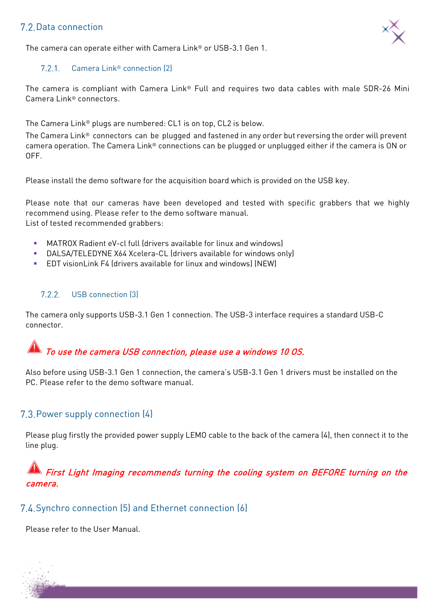## 7.2. Data connection



The camera can operate either with Camera Link® or USB-3.1 Gen 1.

#### $7.2.1.$ Camera Link® connection (2)

The camera is compliant with Camera Link® Full and requires two data cables with male SDR-26 Mini Camera Link® connectors.

The Camera Link® plugs are numbered: CL1 is on top, CL2 is below.

The Camera Link® connectors can be plugged and fastened in any order but reversing the order will prevent camera operation. The Camera Link® connections can be plugged or unplugged either if the camera is ON or OFF.

Please install the demo software for the acquisition board which is provided on the USB key.

Please note that our cameras have been developed and tested with specific grabbers that we highly recommend using. Please refer to the demo software manual. List of tested recommended grabbers:

- MATROX Radient eV-cl full (drivers available for linux and windows)
- DALSA/TELEDYNE X64 Xcelera-CL (drivers available for windows only)
- EDT visionLink F4 (drivers available for linux and windows) (NEW)

#### $7.2.2.$ USB connection (3)

The camera only supports USB-3.1 Gen 1 connection. The USB-3 interface requires a standard USB-C connector.

## To use the camera USB connection, please use a windows 10 OS.

Also before using USB-3.1 Gen 1 connection, the camera's USB-3.1 Gen 1 drivers must be installed on the PC. Please refer to the demo software manual.

#### 7.3. Power supply connection (4)

Please plug firstly the provided power supply LEMO cable to the back of the camera (4), then connect it to the line plug.

## First Light Imaging recommends turning the cooling system on BEFORE turning on the camera.

#### 7.4. Synchro connection (5) and Ethernet connection (6)

Please refer to the User Manual.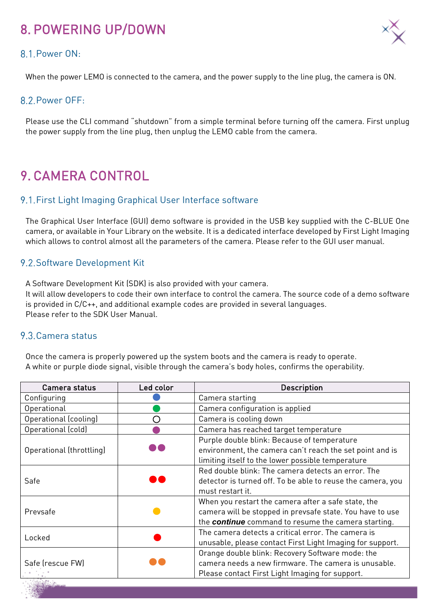# 8. POWERING UP/DOWN

#### 8.1 Power ON:

When the power LEMO is connected to the camera, and the power supply to the line plug, the camera is ON.

#### 8.2 Power OFF:

Please use the CLI command "shutdown" from a simple terminal before turning off the camera. First unplug the power supply from the line plug, then unplug the LEMO cable from the camera.

# 9. CAMERA CONTROL

#### 9.1. First Light Imaging Graphical User Interface software

The Graphical User Interface (GUI) demo software is provided in the USB key supplied with the C-BLUE One camera, or available in Your Library on the website. It is a dedicated interface developed by First Light Imaging which allows to control almost all the parameters of the camera. Please refer to the GUI user manual.

#### 9.2. Software Development Kit

A Software Development Kit (SDK) is also provided with your camera.

It will allow developers to code their own interface to control the camera. The source code of a demo software is provided in C/C++, and additional example codes are provided in several languages. Please refer to the SDK User Manual.

#### 9.3. Camera status

Once the camera is properly powered up the system boots and the camera is ready to operate. A white or purple diode signal, visible through the camera's body holes, confirms the operability.

| Camera status            | Led color | <b>Description</b>                                                                                                                                                             |
|--------------------------|-----------|--------------------------------------------------------------------------------------------------------------------------------------------------------------------------------|
| Configuring              |           | Camera starting                                                                                                                                                                |
| Operational              |           | Camera configuration is applied                                                                                                                                                |
| Operational (cooling)    |           | Camera is cooling down                                                                                                                                                         |
| Operational (cold)       |           | Camera has reached target temperature                                                                                                                                          |
| Operational (throttling) |           | Purple double blink: Because of temperature<br>environment, the camera can't reach the set point and is<br>limiting itself to the lower possible temperature                   |
| Safe                     |           | Red double blink: The camera detects an error. The<br>detector is turned off. To be able to reuse the camera, you<br>must restart it.                                          |
| Prevsafe                 |           | When you restart the camera after a safe state, the<br>camera will be stopped in prevsafe state. You have to use<br>the <b>continue</b> command to resume the camera starting. |
| Locked                   |           | The camera detects a critical error. The camera is<br>unusable, please contact First Light Imaging for support.                                                                |
| Safe (rescue FW)         |           | Orange double blink: Recovery Software mode: the<br>camera needs a new firmware. The camera is unusable.<br>Please contact First Light Imaging for support.                    |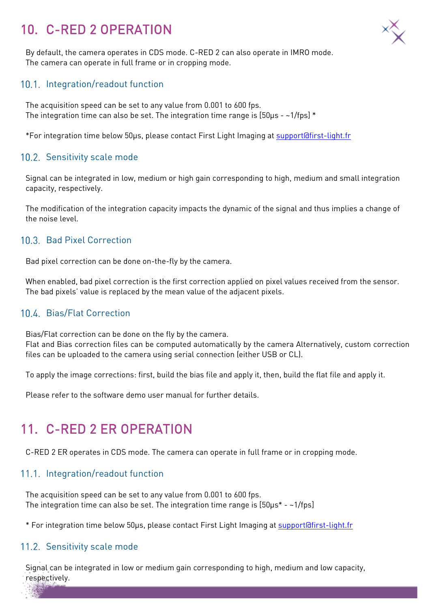# 10. C-RED 2 OPERATION



By default, the camera operates in CDS mode. C-RED 2 can also operate in IMRO mode. The camera can operate in full frame or in cropping mode.

#### 10.1. Integration/readout function

The acquisition speed can be set to any value from 0.001 to 600 fps. The integration time can also be set. The integration time range is  $[50\mu s - 1/fps]$  \*

\*For integration time below 50µs, please contact First Light Imaging at [support@first-light.fr](mailto:support@first-light.fr) 

#### 10.2. Sensitivity scale mode

Signal can be integrated in low, medium or high gain corresponding to high, medium and small integration capacity, respectively.

The modification of the integration capacity impacts the dynamic of the signal and thus implies a change of the noise level.

#### 10.3. Bad Pixel Correction

Bad pixel correction can be done on-the-fly by the camera.

When enabled, bad pixel correction is the first correction applied on pixel values received from the sensor. The bad pixels' value is replaced by the mean value of the adjacent pixels.

#### Bias/Flat Correction

Bias/Flat correction can be done on the fly by the camera. Flat and Bias correction files can be computed automatically by the camera Alternatively, custom correction files can be uploaded to the camera using serial connection (either USB or CL).

To apply the image corrections: first, build the bias file and apply it, then, build the flat file and apply it.

Please refer to the software demo user manual for further details.

## 11. C-RED 2 ER OPERATION

C-RED 2 ER operates in CDS mode. The camera can operate in full frame or in cropping mode.

#### 11.1. Integration/readout function

The acquisition speed can be set to any value from 0.001 to 600 fps. The integration time can also be set. The integration time range is [50µs\* - ~1/fps]

\* For integration time below 50µs, please contact First Light Imaging at [support@first-light.fr](mailto:support@first-light.fr) 

#### 11.2. Sensitivity scale mode

Signal can be integrated in low or medium gain corresponding to high, medium and low capacity, respectively.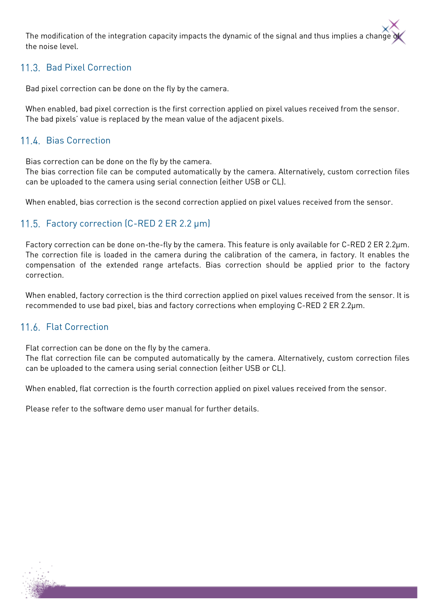The modification of the integration capacity impacts the dynamic of the signal and thus implies a change the noise level.

## 11.3. Bad Pixel Correction

Bad pixel correction can be done on the fly by the camera.

When enabled, bad pixel correction is the first correction applied on pixel values received from the sensor. The bad pixels' value is replaced by the mean value of the adjacent pixels.

#### 11.4. Bias Correction

Bias correction can be done on the fly by the camera.

The bias correction file can be computed automatically by the camera. Alternatively, custom correction files can be uploaded to the camera using serial connection (either USB or CL).

When enabled, bias correction is the second correction applied on pixel values received from the sensor.

#### 11.5. Factory correction (C-RED 2 ER 2.2 µm)

Factory correction can be done on-the-fly by the camera. This feature is only available for C-RED 2 ER 2.2µm. The correction file is loaded in the camera during the calibration of the camera, in factory. It enables the compensation of the extended range artefacts. Bias correction should be applied prior to the factory correction.

When enabled, factory correction is the third correction applied on pixel values received from the sensor. It is recommended to use bad pixel, bias and factory corrections when employing C-RED 2 ER 2.2µm.

#### 11.6. Flat Correction

Flat correction can be done on the fly by the camera.

The flat correction file can be computed automatically by the camera. Alternatively, custom correction files can be uploaded to the camera using serial connection (either USB or CL).

When enabled, flat correction is the fourth correction applied on pixel values received from the sensor.

Please refer to the software demo user manual for further details.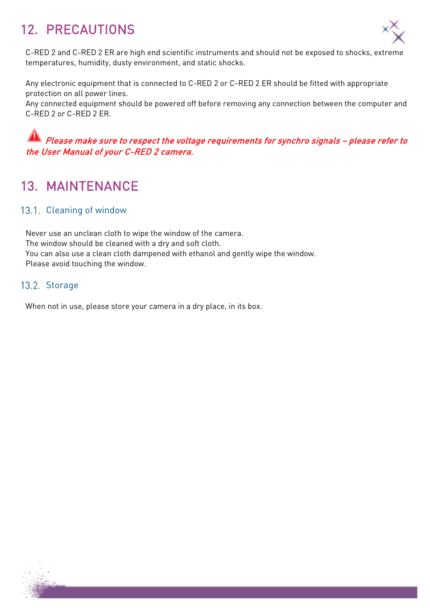# 12. PRECAUTIONS



C-RED 2 and C-RED 2 ER are high end scientific instruments and should not be exposed to shocks, extreme temperatures, humidity, dusty environment, and static shocks.

Any electronic equipment that is connected to C-RED 2 or C-RED 2 ER should be fitted with appropriate protection on all power lines.

Any connected equipment should be powered off before removing any connection between the computer and C-RED 2 or C-RED 2 ER.

## Please make sure to respect the voltage requirements for synchro signals – please refer to the User Manual of your C-RED 2 camera.

## 13. MAINTENANCE

#### 13.1. Cleaning of window

Never use an unclean cloth to wipe the window of the camera. The window should be cleaned with a dry and soft cloth. You can also use a clean cloth dampened with ethanol and gently wipe the window. Please avoid touching the window.

#### 13.2. Storage

When not in use, please store your camera in a dry place, in its box.

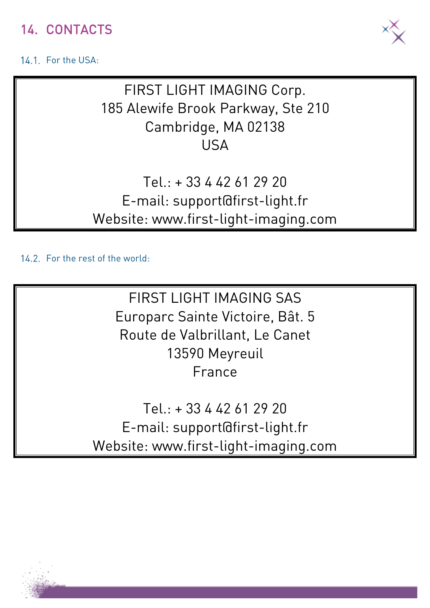## 14. CONTACTS

## 14.1. For the USA:



FIRST LIGHT IMAGING Corp. 185 Alewife Brook Parkway, Ste 210 Cambridge, MA 02138 USA

Tel.: + 33 4 42 61 29 20 E-mail: support@first-light.fr Website: www.first-light-imaging.com

14.2. For the rest of the world:

FIRST LIGHT IMAGING SAS Europarc Sainte Victoire, Bât. 5 Route de Valbrillant, Le Canet 13590 Meyreuil France

Tel.: + 33 4 42 61 29 20 E-mail: support@first-light.fr Website: www.first-light-imaging.com